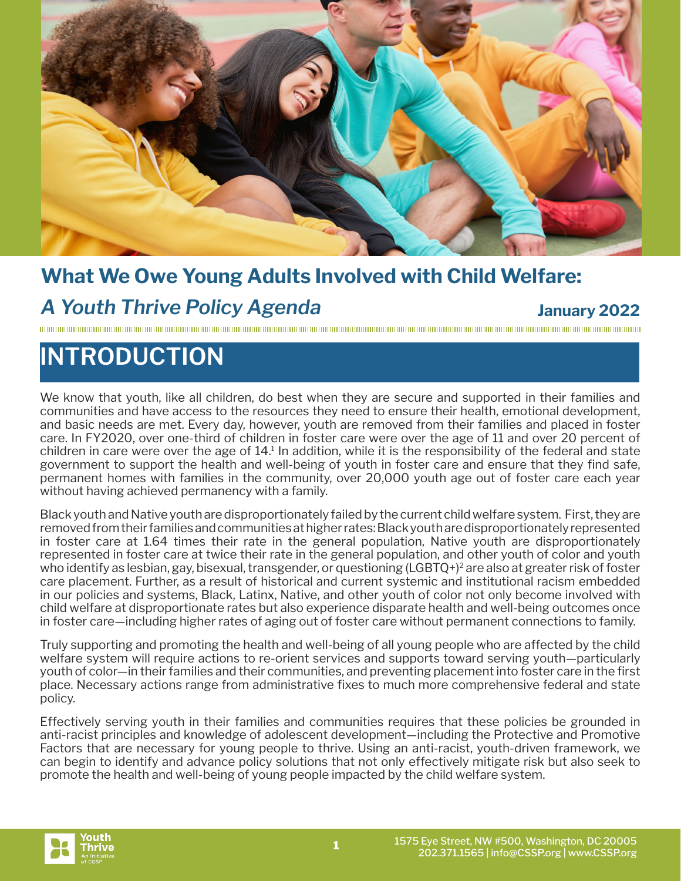

### **What We Owe Young Adults Involved with Child Welfare:**

### *A Youth Thrive Policy Agenda* **January 2022**

# **INTRODUCTION**

We know that youth, like all children, do best when they are secure and supported in their families and communities and have access to the resources they need to ensure their health, emotional development, and basic needs are met. Every day, however, youth are removed from their families and placed in foster care. In FY2020, over one-third of children in foster care were over the age of 11 and over 20 percent of children in care were over the age of 14.<sup>1</sup> In addition, while it is the responsibility of the federal and state government to support the health and well-being of youth in foster care and ensure that they find safe, permanent homes with families in the community, over 20,000 youth age out of foster care each year without having achieved permanency with a family.

Black youth and Native youth are disproportionately failed by the current child welfare system. First, they are removed from their families and communities at higher rates: Black youth are disproportionately represented in foster care at 1.64 times their rate in the general population, Native youth are disproportionately represented in foster care at twice their rate in the general population, and other youth of color and youth who identify as lesbian, gay, bisexual, transgender, or questioning (LGBTQ+)<sup>2</sup> are also at greater risk of foster care placement. Further, as a result of historical and current systemic and institutional racism embedded in our policies and systems, Black, Latinx, Native, and other youth of color not only become involved with child welfare at disproportionate rates but also experience disparate health and well-being outcomes once in foster care—including higher rates of aging out of foster care without permanent connections to family.

Truly supporting and promoting the health and well-being of all young people who are affected by the child welfare system will require actions to re-orient services and supports toward serving youth—particularly youth of color—in their families and their communities, and preventing placement into foster care in the first place. Necessary actions range from administrative fixes to much more comprehensive federal and state policy.

Effectively serving youth in their families and communities requires that these policies be grounded in anti-racist principles and knowledge of adolescent development—including the Protective and Promotive Factors that are necessary for young people to thrive. Using an anti-racist, youth-driven framework, we can begin to identify and advance policy solutions that not only effectively mitigate risk but also seek to promote the health and well-being of young people impacted by the child welfare system.

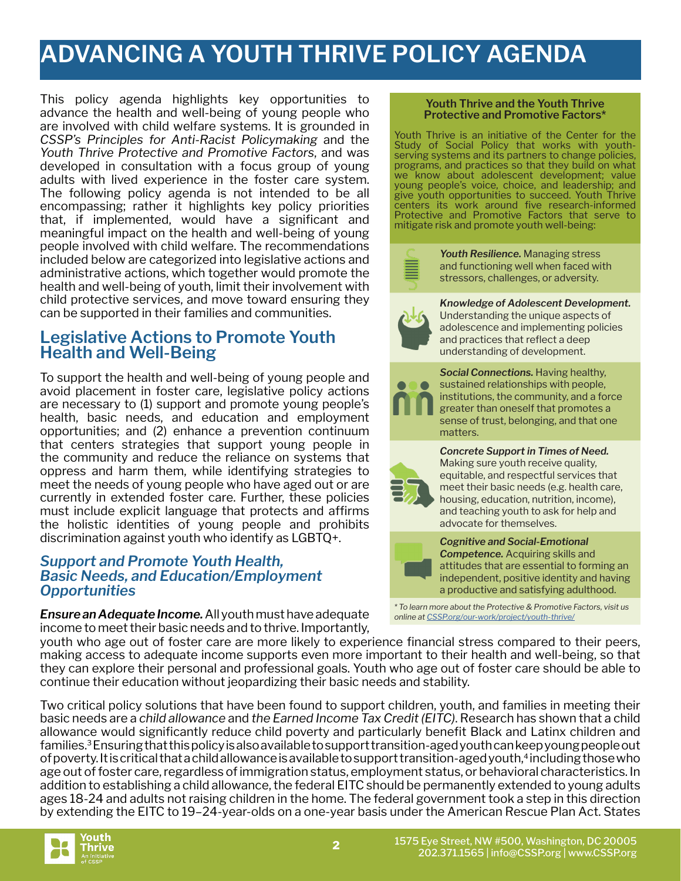## **ADVANCING A YOUTH THRIVE POLICY AGENDA**

This policy agenda highlights key opportunities to advance the health and well-being of young people who are involved with child welfare systems. It is grounded in *CSSP's Principles for Anti-Racist Policymaking* and the *Youth Thrive Protective and Promotive Factors*, and was developed in consultation with a focus group of young adults with lived experience in the foster care system. The following policy agenda is not intended to be all encompassing; rather it highlights key policy priorities that, if implemented, would have a significant and meaningful impact on the health and well-being of young people involved with child welfare. The recommendations included below are categorized into legislative actions and administrative actions, which together would promote the health and well-being of youth, limit their involvement with child protective services, and move toward ensuring they can be supported in their families and communities.

### **Legislative Actions to Promote Youth Health and Well-Being**

To support the health and well-being of young people and avoid placement in foster care, legislative policy actions are necessary to (1) support and promote young people's health, basic needs, and education and employment opportunities; and (2) enhance a prevention continuum that centers strategies that support young people in the community and reduce the reliance on systems that oppress and harm them, while identifying strategies to meet the needs of young people who have aged out or are currently in extended foster care. Further, these policies must include explicit language that protects and affirms the holistic identities of young people and prohibits discrimination against youth who identify as LGBTQ+.

### *Support and Promote Youth Health, Basic Needs, and Education/Employment Opportunities*

*Ensure an Adequate Income.* All youth must have adequate income to meet their basic needs and to thrive. Importantly,

#### **Youth Thrive and the Youth Thrive Protective and Promotive Factors\***

Youth Thrive is an initiative of the Center for the Study of Social Policy that works with youthserving systems and its partners to change policies, programs, and practices so that they build on what we know about adolescent development; value young people's voice, choice, and leadership; and give youth opportunities to succeed. Youth Thrive centers its work around five research-informed Protective and Promotive Factors that serve to mitigate risk and promote youth well-being:



*Youth Resilience.* Managing stress and functioning well when faced with stressors, challenges, or adversity.



*Knowledge of Adolescent Development.*  Understanding the unique aspects of adolescence and implementing policies and practices that reflect a deep understanding of development.

**Social Connections.** Having healthy, sustained relationships with people, institutions, the community, and a force greater than oneself that promotes a sense of trust, belonging, and that one matters.

#### *Concrete Support in Times of Need.*

Making sure youth receive quality, equitable, and respectful services that meet their basic needs (e.g. health care, housing, education, nutrition, income), and teaching youth to ask for help and advocate for themselves.



#### *Cognitive and Social-Emotional*

*Competence.* Acquiring skills and attitudes that are essential to forming an independent, positive identity and having a productive and satisfying adulthood.

*\* To learn more about the Protective & Promotive Factors, visit us online at [CSSP.org/our-work/project/youth-thrive/](http://CSSP.org/our-work/project/youth-thrive/)*

youth who age out of foster care are more likely to experience financial stress compared to their peers, making access to adequate income supports even more important to their health and well-being, so that they can explore their personal and professional goals. Youth who age out of foster care should be able to continue their education without jeopardizing their basic needs and stability.

Two critical policy solutions that have been found to support children, youth, and families in meeting their basic needs are a *child allowance* and *the Earned Income Tax Credit (EITC)*. Research has shown that a child allowance would significantly reduce child poverty and particularly benefit Black and Latinx children and families.3 Ensuring that this policy is also available to support transition-aged youth can keep young people out of poverty. It is critical that a child allowance is available to support transition-aged youth,<sup>4</sup> including those who age out of foster care, regardless of immigration status, employment status, or behavioral characteristics. In addition to establishing a child allowance, the federal EITC should be permanently extended to young adults ages 18-24 and adults not raising children in the home. The federal government took a step in this direction by extending the EITC to 19–24-year-olds on a one-year basis under the American Rescue Plan Act. States

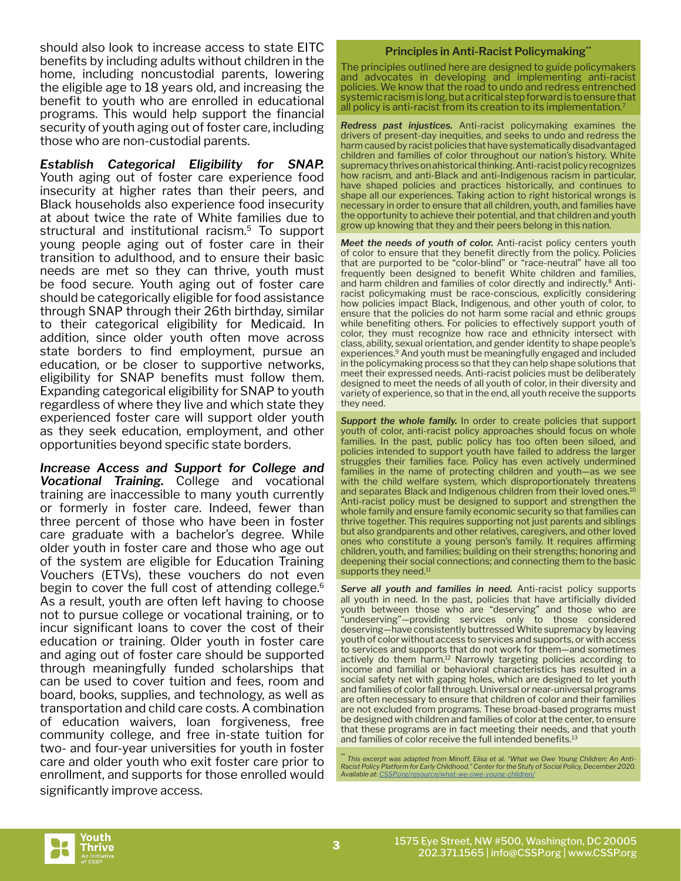should also look to increase access to state EITC benefits by including adults without children in the home, including noncustodial parents, lowering the eligible age to 18 years old, and increasing the benefit to youth who are enrolled in educational programs. This would help support the financial security of youth aging out of foster care, including those who are non-custodial parents.

*Establish Categorical Eligibility for SNAP.*  Youth aging out of foster care experience food insecurity at higher rates than their peers, and Black households also experience food insecurity at about twice the rate of White families due to structural and institutional racism.5 To support young people aging out of foster care in their transition to adulthood, and to ensure their basic needs are met so they can thrive, youth must be food secure. Youth aging out of foster care should be categorically eligible for food assistance through SNAP through their 26th birthday, similar to their categorical eligibility for Medicaid. In addition, since older youth often move across state borders to find employment, pursue an education, or be closer to supportive networks, eligibility for SNAP benefits must follow them. Expanding categorical eligibility for SNAP to youth regardless of where they live and which state they experienced foster care will support older youth as they seek education, employment, and other opportunities beyond specific state borders.

*Increase Access and Support for College and Vocational Training.* College and vocational training are inaccessible to many youth currently or formerly in foster care. Indeed, fewer than three percent of those who have been in foster care graduate with a bachelor's degree. While older youth in foster care and those who age out of the system are eligible for Education Training Vouchers (ETVs), these vouchers do not even begin to cover the full cost of attending college.<sup>6</sup> As a result, youth are often left having to choose not to pursue college or vocational training, or to incur significant loans to cover the cost of their education or training. Older youth in foster care and aging out of foster care should be supported through meaningfully funded scholarships that can be used to cover tuition and fees, room and board, books, supplies, and technology, as well as transportation and child care costs. A combination of education waivers, loan forgiveness, free community college, and free in-state tuition for two- and four-year universities for youth in foster care and older youth who exit foster care prior to enrollment, and supports for those enrolled would significantly improve access.

#### **Principles in Anti-Racist Policymaking\*\***

The principles outlined here are designed to guide policymakers and advocates in developing and implementing anti-racist policies. We know that the road to undo and redress entrenched systemic racism is long, but a critical step forward is to ensure that all policy is anti-racist from its creation to its implementation.7

*Redress past injustices.* Anti-racist policymaking examines the drivers of present-day inequities, and seeks to undo and redress the harm caused by racist policies that have systematically disadvantaged children and families of color throughout our nation's history. White supremacy thrives on ahistorical thinking. Anti-racist policy recognizes how racism, and anti-Black and anti-Indigenous racism in particular, have shaped policies and practices historically, and continues to shape all our experiences. Taking action to right historical wrongs is necessary in order to ensure that all children, youth, and families have the opportunity to achieve their potential, and that children and youth grow up knowing that they and their peers belong in this nation.

*Meet the needs of youth of color.* Anti-racist policy centers youth of color to ensure that they benefit directly from the policy. Policies that are purported to be "color-blind" or "race-neutral" have all too frequently been designed to benefit White children and families, and harm children and families of color directly and indirectly.8 Antiracist policymaking must be race-conscious, explicitly considering how policies impact Black, Indigenous, and other youth of color, to ensure that the policies do not harm some racial and ethnic groups while benefiting others. For policies to effectively support youth of color, they must recognize how race and ethnicity intersect with class, ability, sexual orientation, and gender identity to shape people's experiences.9 And youth must be meaningfully engaged and included in the policymaking process so that they can help shape solutions that meet their expressed needs. Anti-racist policies must be deliberately designed to meet the needs of all youth of color, in their diversity and variety of experience, so that in the end, all youth receive the supports they need.

Support the whole family. In order to create policies that support youth of color, anti-racist policy approaches should focus on whole families. In the past, public policy has too often been siloed, and policies intended to support youth have failed to address the larger struggles their families face. Policy has even actively undermined families in the name of protecting children and youth—as we see with the child welfare system, which disproportionately threatens and separates Black and Indigenous children from their loved ones.<sup>10</sup> Anti-racist policy must be designed to support and strengthen the whole family and ensure family economic security so that families can thrive together. This requires supporting not just parents and siblings but also grandparents and other relatives, caregivers, and other loved ones who constitute a young person's family. It requires affirming children, youth, and families; building on their strengths; honoring and deepening their social connections; and connecting them to the basic supports they need.<sup>11</sup>

**Serve all youth and families in need.** Anti-racist policy supports all youth in need. In the past, policies that have artificially divided youth between those who are "deserving" and those who are "undeserving"—providing services only to those considered deserving—have consistently buttressed White supremacy by leaving youth of color without access to services and supports, or with access to services and supports that do not work for them—and sometimes actively do them harm.<sup>12</sup> Narrowly targeting policies according to income and familial or behavioral characteristics has resulted in a social safety net with gaping holes, which are designed to let youth and families of color fall through. Universal or near-universal programs are often necessary to ensure that children of color and their families are not excluded from programs. These broad-based programs must be designed with children and families of color at the center, to ensure that these programs are in fact meeting their needs, and that youth and families of color receive the full intended benefits.<sup>13</sup>

\*\* *This excerpt was adapted from Minoff, Elisa et al. "What we Owe Young Children: An Anti-Racist Policy Platform for Early Childhood." Center for the Stufy of Social Policy, December 2020.*  Available at: CSSP.org/resource/what-we-owe-young-

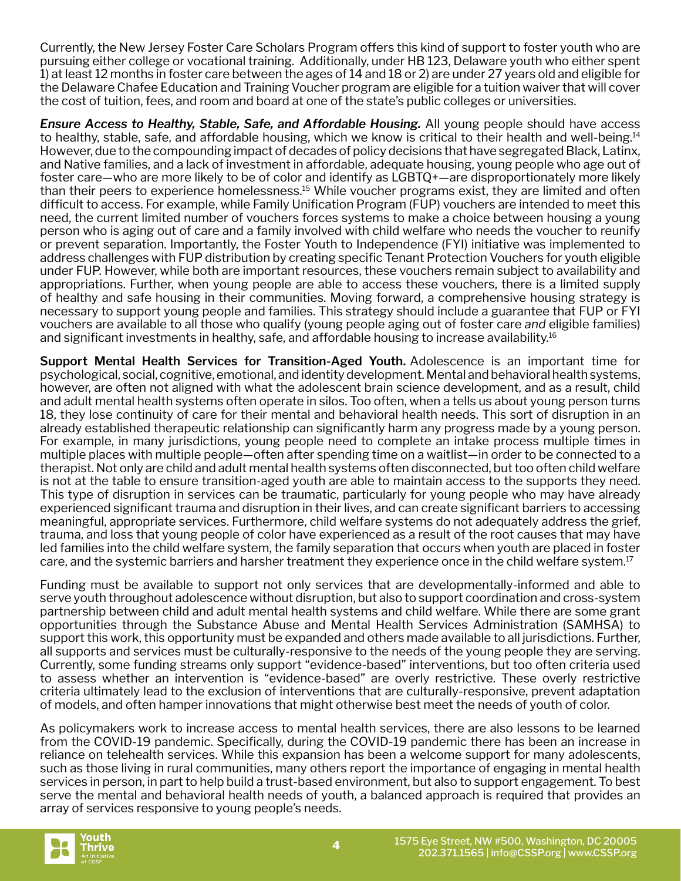Currently, the New Jersey Foster Care Scholars Program offers this kind of support to foster youth who are pursuing either college or vocational training. Additionally, under HB 123, Delaware youth who either spent 1) at least 12 months in foster care between the ages of 14 and 18 or 2) are under 27 years old and eligible for the Delaware Chafee Education and Training Voucher program are eligible for a tuition waiver that will cover the cost of tuition, fees, and room and board at one of the state's public colleges or universities.

*Ensure Access to Healthy, Stable, Safe, and Affordable Housing.* All young people should have access to healthy, stable, safe, and affordable housing, which we know is critical to their health and well-being.14 However, due to the compounding impact of decades of policy decisions that have segregated Black, Latinx, and Native families, and a lack of investment in affordable, adequate housing, young people who age out of foster care—who are more likely to be of color and identify as LGBTQ+—are disproportionately more likely than their peers to experience homelessness.15 While voucher programs exist, they are limited and often difficult to access. For example, while Family Unification Program (FUP) vouchers are intended to meet this need, the current limited number of vouchers forces systems to make a choice between housing a young person who is aging out of care and a family involved with child welfare who needs the voucher to reunify or prevent separation. Importantly, the Foster Youth to Independence (FYI) initiative was implemented to address challenges with FUP distribution by creating specific Tenant Protection Vouchers for youth eligible under FUP. However, while both are important resources, these vouchers remain subject to availability and appropriations. Further, when young people are able to access these vouchers, there is a limited supply of healthy and safe housing in their communities. Moving forward, a comprehensive housing strategy is necessary to support young people and families. This strategy should include a guarantee that FUP or FYI vouchers are available to all those who qualify (young people aging out of foster care *and* eligible families) and significant investments in healthy, safe, and affordable housing to increase availability.<sup>16</sup>

**Support Mental Health Services for Transition-Aged Youth.** Adolescence is an important time for psychological, social, cognitive, emotional, and identity development. Mental and behavioral health systems, however, are often not aligned with what the adolescent brain science development, and as a result, child and adult mental health systems often operate in silos. Too often, when a tells us about young person turns 18, they lose continuity of care for their mental and behavioral health needs. This sort of disruption in an already established therapeutic relationship can significantly harm any progress made by a young person. For example, in many jurisdictions, young people need to complete an intake process multiple times in multiple places with multiple people—often after spending time on a waitlist—in order to be connected to a therapist. Not only are child and adult mental health systems often disconnected, but too often child welfare is not at the table to ensure transition-aged youth are able to maintain access to the supports they need. This type of disruption in services can be traumatic, particularly for young people who may have already experienced significant trauma and disruption in their lives, and can create significant barriers to accessing meaningful, appropriate services. Furthermore, child welfare systems do not adequately address the grief, trauma, and loss that young people of color have experienced as a result of the root causes that may have led families into the child welfare system, the family separation that occurs when youth are placed in foster care, and the systemic barriers and harsher treatment they experience once in the child welfare system.17

Funding must be available to support not only services that are developmentally-informed and able to serve youth throughout adolescence without disruption, but also to support coordination and cross-system partnership between child and adult mental health systems and child welfare. While there are some grant opportunities through the Substance Abuse and Mental Health Services Administration (SAMHSA) to support this work, this opportunity must be expanded and others made available to all jurisdictions. Further, all supports and services must be culturally-responsive to the needs of the young people they are serving. Currently, some funding streams only support "evidence-based" interventions, but too often criteria used to assess whether an intervention is "evidence-based" are overly restrictive. These overly restrictive criteria ultimately lead to the exclusion of interventions that are culturally-responsive, prevent adaptation of models, and often hamper innovations that might otherwise best meet the needs of youth of color.

As policymakers work to increase access to mental health services, there are also lessons to be learned from the COVID-19 pandemic. Specifically, during the COVID-19 pandemic there has been an increase in reliance on telehealth services. While this expansion has been a welcome support for many adolescents, such as those living in rural communities, many others report the importance of engaging in mental health services in person, in part to help build a trust-based environment, but also to support engagement. To best serve the mental and behavioral health needs of youth, a balanced approach is required that provides an array of services responsive to young people's needs.

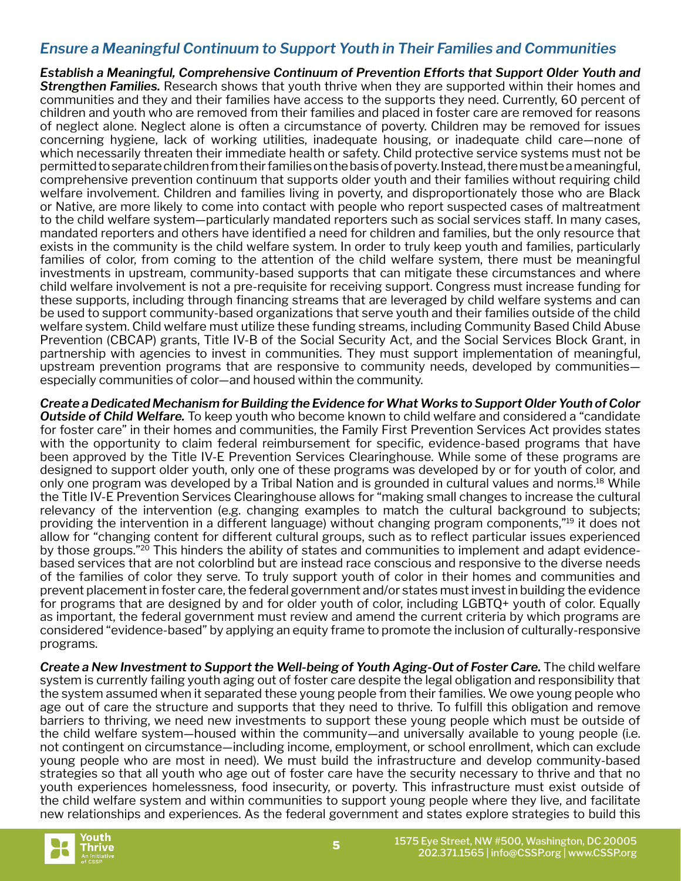### *Ensure a Meaningful Continuum to Support Youth in Their Families and Communities*

*Establish a Meaningful, Comprehensive Continuum of Prevention Efforts that Support Older Youth and Strengthen Families.* Research shows that youth thrive when they are supported within their homes and communities and they and their families have access to the supports they need. Currently, 60 percent of children and youth who are removed from their families and placed in foster care are removed for reasons of neglect alone. Neglect alone is often a circumstance of poverty. Children may be removed for issues concerning hygiene, lack of working utilities, inadequate housing, or inadequate child care—none of which necessarily threaten their immediate health or safety. Child protective service systems must not be permitted to separate children from their families on the basis of poverty. Instead, there must be a meaningful, comprehensive prevention continuum that supports older youth and their families without requiring child welfare involvement. Children and families living in poverty, and disproportionately those who are Black or Native, are more likely to come into contact with people who report suspected cases of maltreatment to the child welfare system—particularly mandated reporters such as social services staff. In many cases, mandated reporters and others have identified a need for children and families, but the only resource that exists in the community is the child welfare system. In order to truly keep youth and families, particularly families of color, from coming to the attention of the child welfare system, there must be meaningful investments in upstream, community-based supports that can mitigate these circumstances and where child welfare involvement is not a pre-requisite for receiving support. Congress must increase funding for these supports, including through financing streams that are leveraged by child welfare systems and can be used to support community-based organizations that serve youth and their families outside of the child welfare system. Child welfare must utilize these funding streams, including Community Based Child Abuse Prevention (CBCAP) grants, Title IV-B of the Social Security Act, and the Social Services Block Grant, in partnership with agencies to invest in communities. They must support implementation of meaningful, upstream prevention programs that are responsive to community needs, developed by communities especially communities of color—and housed within the community.

*Create a Dedicated Mechanism for Building the Evidence for What Works to Support Older Youth of Color Outside of Child Welfare.* To keep youth who become known to child welfare and considered a "candidate for foster care" in their homes and communities, the Family First Prevention Services Act provides states with the opportunity to claim federal reimbursement for specific, evidence-based programs that have been approved by the Title IV-E Prevention Services Clearinghouse. While some of these programs are designed to support older youth, only one of these programs was developed by or for youth of color, and only one program was developed by a Tribal Nation and is grounded in cultural values and norms.18 While the Title IV-E Prevention Services Clearinghouse allows for "making small changes to increase the cultural relevancy of the intervention (e.g. changing examples to match the cultural background to subjects; providing the intervention in a different language) without changing program components,"19 it does not allow for "changing content for different cultural groups, such as to reflect particular issues experienced by those groups."<sup>20</sup> This hinders the ability of states and communities to implement and adapt evidencebased services that are not colorblind but are instead race conscious and responsive to the diverse needs of the families of color they serve. To truly support youth of color in their homes and communities and prevent placement in foster care, the federal government and/or states must invest in building the evidence for programs that are designed by and for older youth of color, including LGBTQ+ youth of color. Equally as important, the federal government must review and amend the current criteria by which programs are considered "evidence-based" by applying an equity frame to promote the inclusion of culturally-responsive programs.

*Create a New Investment to Support the Well-being of Youth Aging-Out of Foster Care.* **The child welfare** system is currently failing youth aging out of foster care despite the legal obligation and responsibility that the system assumed when it separated these young people from their families. We owe young people who age out of care the structure and supports that they need to thrive. To fulfill this obligation and remove barriers to thriving, we need new investments to support these young people which must be outside of the child welfare system—housed within the community—and universally available to young people (i.e. not contingent on circumstance—including income, employment, or school enrollment, which can exclude young people who are most in need). We must build the infrastructure and develop community-based strategies so that all youth who age out of foster care have the security necessary to thrive and that no youth experiences homelessness, food insecurity, or poverty. This infrastructure must exist outside of the child welfare system and within communities to support young people where they live, and facilitate new relationships and experiences. As the federal government and states explore strategies to build this

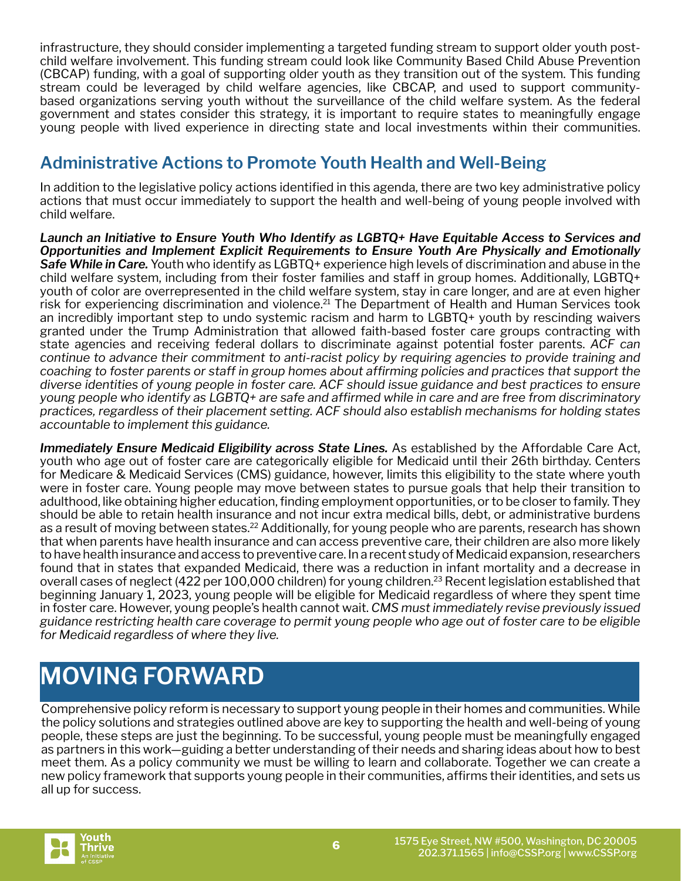infrastructure, they should consider implementing a targeted funding stream to support older youth postchild welfare involvement. This funding stream could look like Community Based Child Abuse Prevention (CBCAP) funding, with a goal of supporting older youth as they transition out of the system. This funding stream could be leveraged by child welfare agencies, like CBCAP, and used to support communitybased organizations serving youth without the surveillance of the child welfare system. As the federal government and states consider this strategy, it is important to require states to meaningfully engage young people with lived experience in directing state and local investments within their communities.

### **Administrative Actions to Promote Youth Health and Well-Being**

In addition to the legislative policy actions identified in this agenda, there are two key administrative policy actions that must occur immediately to support the health and well-being of young people involved with child welfare.

*Launch an Initiative to Ensure Youth Who Identify as LGBTQ+ Have Equitable Access to Services and Opportunities and Implement Explicit Requirements to Ensure Youth Are Physically and Emotionally Safe While in Care.* Youth who identify as LGBTQ+ experience high levels of discrimination and abuse in the child welfare system, including from their foster families and staff in group homes. Additionally, LGBTQ+ youth of color are overrepresented in the child welfare system, stay in care longer, and are at even higher risk for experiencing discrimination and violence.<sup>21</sup> The Department of Health and Human Services took an incredibly important step to undo systemic racism and harm to LGBTQ+ youth by rescinding waivers granted under the Trump Administration that allowed faith-based foster care groups contracting with state agencies and receiving federal dollars to discriminate against potential foster parents. *ACF can continue to advance their commitment to anti-racist policy by requiring agencies to provide training and coaching to foster parents or staff in group homes about affirming policies and practices that support the diverse identities of young people in foster care. ACF should issue guidance and best practices to ensure young people who identify as LGBTQ+ are safe and affirmed while in care and are free from discriminatory practices, regardless of their placement setting. ACF should also establish mechanisms for holding states accountable to implement this guidance.*

Immediately Ensure Medicaid Eligibility across State Lines. As established by the Affordable Care Act, youth who age out of foster care are categorically eligible for Medicaid until their 26th birthday. Centers for Medicare & Medicaid Services (CMS) guidance, however, limits this eligibility to the state where youth were in foster care. Young people may move between states to pursue goals that help their transition to adulthood, like obtaining higher education, finding employment opportunities, or to be closer to family. They should be able to retain health insurance and not incur extra medical bills, debt, or administrative burdens as a result of moving between states.<sup>22</sup> Additionally, for young people who are parents, research has shown that when parents have health insurance and can access preventive care, their children are also more likely to have health insurance and access to preventive care. In a recent study of Medicaid expansion, researchers found that in states that expanded Medicaid, there was a reduction in infant mortality and a decrease in overall cases of neglect (422 per 100,000 children) for young children.<sup>23</sup> Recent legislation established that beginning January 1, 2023, young people will be eligible for Medicaid regardless of where they spent time in foster care. However, young people's health cannot wait. *CMS must immediately revise previously issued guidance restricting health care coverage to permit young people who age out of foster care to be eligible for Medicaid regardless of where they live.* 

# **MOVING FORWARD**

Comprehensive policy reform is necessary to support young people in their homes and communities. While the policy solutions and strategies outlined above are key to supporting the health and well-being of young people, these steps are just the beginning. To be successful, young people must be meaningfully engaged as partners in this work—guiding a better understanding of their needs and sharing ideas about how to best meet them. As a policy community we must be willing to learn and collaborate. Together we can create a new policy framework that supports young people in their communities, affirms their identities, and sets us all up for success.

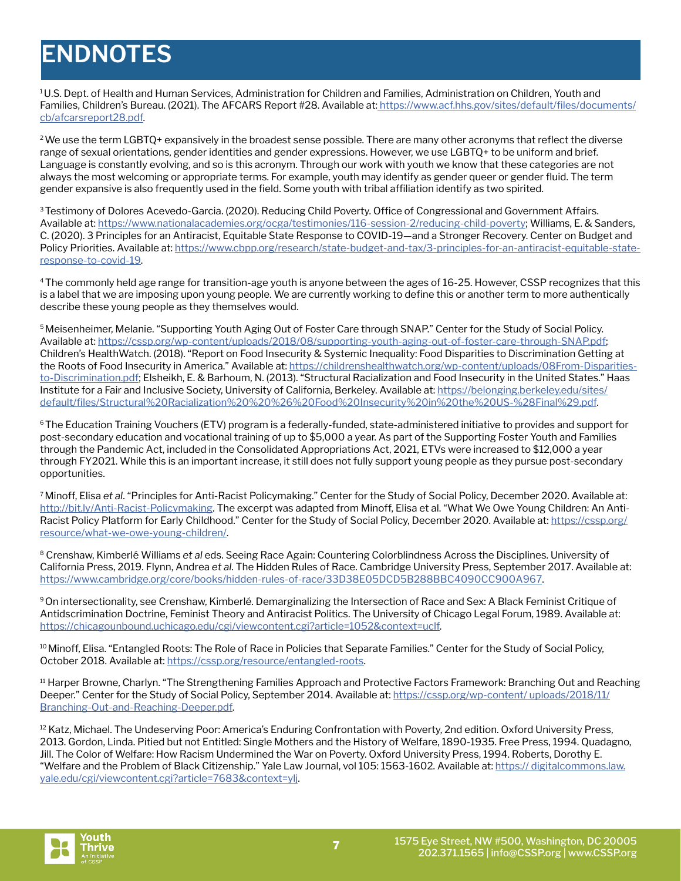# **ENDNOTES**

1 U.S. Dept. of Health and Human Services, Administration for Children and Families, Administration on Children, Youth and Families, Children's Bureau. (2021). The AFCARS Report #28. Available at: [https://www.acf.hhs.gov/sites/default/files/documents/](https://www.acf.hhs.gov/sites/default/files/documents/cb/afcarsreport28.pdf) [cb/afcarsreport28.pdf.](https://www.acf.hhs.gov/sites/default/files/documents/cb/afcarsreport28.pdf)

<sup>2</sup>We use the term LGBTQ+ expansively in the broadest sense possible. There are many other acronyms that reflect the diverse range of sexual orientations, gender identities and gender expressions. However, we use LGBTQ+ to be uniform and brief. Language is constantly evolving, and so is this acronym. Through our work with youth we know that these categories are not always the most welcoming or appropriate terms. For example, youth may identify as gender queer or gender fluid. The term gender expansive is also frequently used in the field. Some youth with tribal affiliation identify as two spirited.

<sup>3</sup>Testimony of Dolores Acevedo-Garcia. (2020). Reducing Child Poverty. Office of Congressional and Government Affairs. Available at: [https://www.nationalacademies.org/ocga/testimonies/116-session-2/reducing-child-poverty;](https://www.nationalacademies.org/ocga/testimonies/116-session-2/reducing-child-poverty) Williams, E. & Sanders, C. (2020). 3 Principles for an Antiracist, Equitable State Response to COVID-19—and a Stronger Recovery. Center on Budget and Policy Priorities. Available at: [https://www.cbpp.org/research/state-budget-and-tax/3-principles-for-an-antiracist-equitable-state](https://www.cbpp.org/research/state-budget-and-tax/3-principles-for-an-antiracist-equitable-state-re)[response-to-covid-19.](https://www.cbpp.org/research/state-budget-and-tax/3-principles-for-an-antiracist-equitable-state-re)

4 The commonly held age range for transition-age youth is anyone between the ages of 16-25. However, CSSP recognizes that this is a label that we are imposing upon young people. We are currently working to define this or another term to more authentically describe these young people as they themselves would.

5 Meisenheimer, Melanie. "Supporting Youth Aging Out of Foster Care through SNAP." Center for the Study of Social Policy. Available at: [https://cssp.org/wp-content/uploads/2018/08/supporting-youth-aging-out-of-foster-care-through-SNAP.pdf;](https://cssp.org/wp-content/uploads/2018/08/supporting-youth-aging-out-of-foster-care-through-SNAP.p) Children's HealthWatch. (2018). "Report on Food Insecurity & Systemic Inequality: Food Disparities to Discrimination Getting at the Roots of Food Insecurity in America." Available at: [https://childrenshealthwatch.org/wp-content/uploads/08From-Disparities](https://childrenshealthwatch.org/wp-content/uploads/08From-Disparities-to-Discrimination.pdf)[to-Discrimination.pdf;](https://childrenshealthwatch.org/wp-content/uploads/08From-Disparities-to-Discrimination.pdf) Elsheikh, E. & Barhoum, N. (2013). "Structural Racialization and Food Insecurity in the United States." Haas Institute for a Fair and Inclusive Society, University of California, Berkeley. Available at: [https://belonging.berkeley.edu/sites/](https://belonging.berkeley.edu/sites/default/files/Structural%20Racialization%20%20%26%20Food%20Inse) [default/files/Structural%20Racialization%20%20%26%20Food%20Insecurity%20in%20the%20US-%28Final%29.pdf](https://belonging.berkeley.edu/sites/default/files/Structural%20Racialization%20%20%26%20Food%20Inse).

6 The Education Training Vouchers (ETV) program is a federally-funded, state-administered initiative to provides and support for post-secondary education and vocational training of up to \$5,000 a year. As part of the Supporting Foster Youth and Families through the Pandemic Act, included in the Consolidated Appropriations Act, 2021, ETVs were increased to \$12,000 a year through FY2021. While this is an important increase, it still does not fully support young people as they pursue post-secondary opportunities.

7 Minoff, Elisa *et al*. "Principles for Anti-Racist Policymaking." Center for the Study of Social Policy, December 2020. Available at: <http://bit.ly/Anti-Racist-Policymaking>. The excerpt was adapted from Minoff, Elisa et al. "What We Owe Young Children: An AntiRacist Policy Platform for Early Childhood." Center for the Study of Social Policy, December 2020. Available at: [https://cssp.org/](https://cssp.org/resource/what-we-owe-young-children/) [resource/what-we-owe-young-children/.](https://cssp.org/resource/what-we-owe-young-children/)

8 Crenshaw, Kimberlé Williams *et al* eds. Seeing Race Again: Countering Colorblindness Across the Disciplines. University of California Press, 2019. Flynn, Andrea *et al*. The Hidden Rules of Race. Cambridge University Press, September 2017. Available at: [https://www.cambridge.org/core/books/hidden-rules-of-race/33D38E05DCD5B288BBC4090CC900A967.](https://www.cambridge.org/core/books/hidden-rules-of-race/33D38E05DCD5B288BBC4090CC900A967)

9 On intersectionality, see Crenshaw, Kimberlé. Demarginalizing the Intersection of Race and Sex: A Black Feminist Critique of Antidscrimination Doctrine, Feminist Theory and Antiracist Politics. The University of Chicago Legal Forum, 1989. Available at: <https://chicagounbound.uchicago.edu/cgi/viewcontent.cgi?article=1052&context=uclf>.

<sup>10</sup> Minoff, Elisa. "Entangled Roots: The Role of Race in Policies that Separate Families." Center for the Study of Social Policy, October 2018. Available at:<https://cssp.org/resource/entangled-roots>.

<sup>11</sup> Harper Browne, Charlyn. "The Strengthening Families Approach and Protective Factors Framework: Branching Out and Reaching Deeper." Center for the Study of Social Policy, September 2014. Available at: [https://cssp.org/wp-content/ uploads/2018/11/](https://cssp.org/wp-content/ uploads/2018/11/Branching-Out-and-Reaching-Deeper.pdf) [Branching-Out-and-Reaching-Deeper.pdf](https://cssp.org/wp-content/ uploads/2018/11/Branching-Out-and-Reaching-Deeper.pdf).

<sup>12</sup> Katz, Michael. The Undeserving Poor: America's Enduring Confrontation with Poverty, 2nd edition. Oxford University Press, 2013. Gordon, Linda. Pitied but not Entitled: Single Mothers and the History of Welfare, 1890-1935. Free Press, 1994. Quadagno, Jill. The Color of Welfare: How Racism Undermined the War on Poverty. Oxford University Press, 1994. Roberts, Dorothy E. "Welfare and the Problem of Black Citizenship." Yale Law Journal, vol 105: 1563-1602. Available at: [https:// digitalcommons.law.](https:// digitalcommons.law.yale.edu/cgi/viewcontent.cgi?article=7683&context=ylj) [yale.edu/cgi/viewcontent.cgi?article=7683&context=ylj.](https:// digitalcommons.law.yale.edu/cgi/viewcontent.cgi?article=7683&context=ylj)